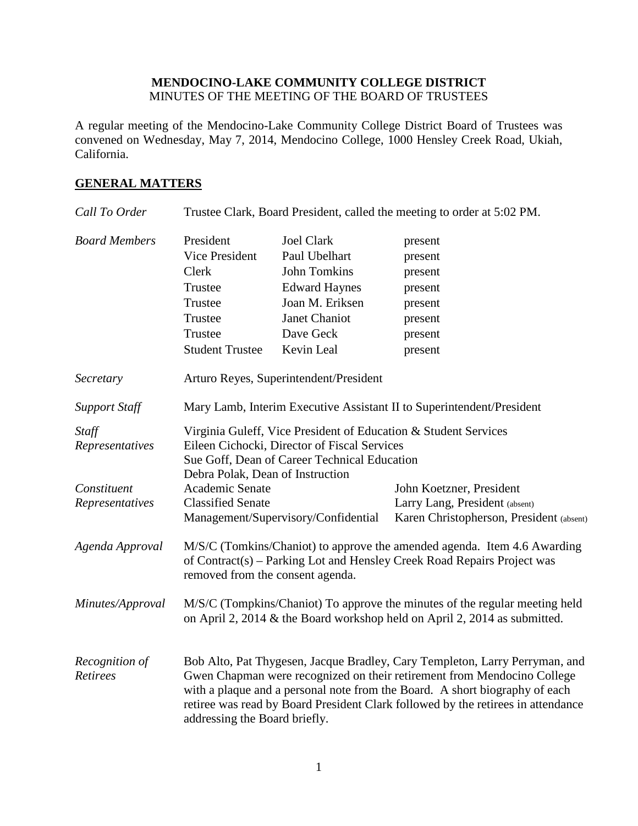# **MENDOCINO-LAKE COMMUNITY COLLEGE DISTRICT** MINUTES OF THE MEETING OF THE BOARD OF TRUSTEES

A regular meeting of the Mendocino-Lake Community College District Board of Trustees was convened on Wednesday, May 7, 2014, Mendocino College, 1000 Hensley Creek Road, Ukiah, California.

# **GENERAL MATTERS**

| Call To Order              |                                                                                                                                                                                                                                                                                                                                                            |                                     | Trustee Clark, Board President, called the meeting to order at 5:02 PM. |
|----------------------------|------------------------------------------------------------------------------------------------------------------------------------------------------------------------------------------------------------------------------------------------------------------------------------------------------------------------------------------------------------|-------------------------------------|-------------------------------------------------------------------------|
| <b>Board Members</b>       | President                                                                                                                                                                                                                                                                                                                                                  | <b>Joel Clark</b>                   | present                                                                 |
|                            | Vice President                                                                                                                                                                                                                                                                                                                                             | Paul Ubelhart                       | present                                                                 |
|                            | Clerk                                                                                                                                                                                                                                                                                                                                                      | <b>John Tomkins</b>                 | present                                                                 |
|                            | Trustee                                                                                                                                                                                                                                                                                                                                                    | <b>Edward Haynes</b>                | present                                                                 |
|                            | Trustee                                                                                                                                                                                                                                                                                                                                                    | Joan M. Eriksen                     | present                                                                 |
|                            | Trustee                                                                                                                                                                                                                                                                                                                                                    | <b>Janet Chaniot</b>                | present                                                                 |
|                            | Trustee                                                                                                                                                                                                                                                                                                                                                    | Dave Geck                           | present                                                                 |
|                            | <b>Student Trustee</b>                                                                                                                                                                                                                                                                                                                                     | Kevin Leal                          | present                                                                 |
| Secretary                  | Arturo Reyes, Superintendent/President                                                                                                                                                                                                                                                                                                                     |                                     |                                                                         |
| <b>Support Staff</b>       | Mary Lamb, Interim Executive Assistant II to Superintendent/President                                                                                                                                                                                                                                                                                      |                                     |                                                                         |
| Staff<br>Representatives   | Virginia Guleff, Vice President of Education & Student Services<br>Eileen Cichocki, Director of Fiscal Services<br>Sue Goff, Dean of Career Technical Education<br>Debra Polak, Dean of Instruction                                                                                                                                                        |                                     |                                                                         |
| Constituent                | Academic Senate                                                                                                                                                                                                                                                                                                                                            |                                     | John Koetzner, President                                                |
| Representatives            | <b>Classified Senate</b>                                                                                                                                                                                                                                                                                                                                   |                                     | Larry Lang, President (absent)                                          |
|                            |                                                                                                                                                                                                                                                                                                                                                            | Management/Supervisory/Confidential | Karen Christopherson, President (absent)                                |
| Agenda Approval            | M/S/C (Tomkins/Chaniot) to approve the amended agenda. Item 4.6 Awarding<br>of Contract(s) - Parking Lot and Hensley Creek Road Repairs Project was<br>removed from the consent agenda.                                                                                                                                                                    |                                     |                                                                         |
| Minutes/Approval           | M/S/C (Tompkins/Chaniot) To approve the minutes of the regular meeting held<br>on April 2, 2014 & the Board workshop held on April 2, 2014 as submitted.                                                                                                                                                                                                   |                                     |                                                                         |
| Recognition of<br>Retirees | Bob Alto, Pat Thygesen, Jacque Bradley, Cary Templeton, Larry Perryman, and<br>Gwen Chapman were recognized on their retirement from Mendocino College<br>with a plaque and a personal note from the Board. A short biography of each<br>retiree was read by Board President Clark followed by the retirees in attendance<br>addressing the Board briefly. |                                     |                                                                         |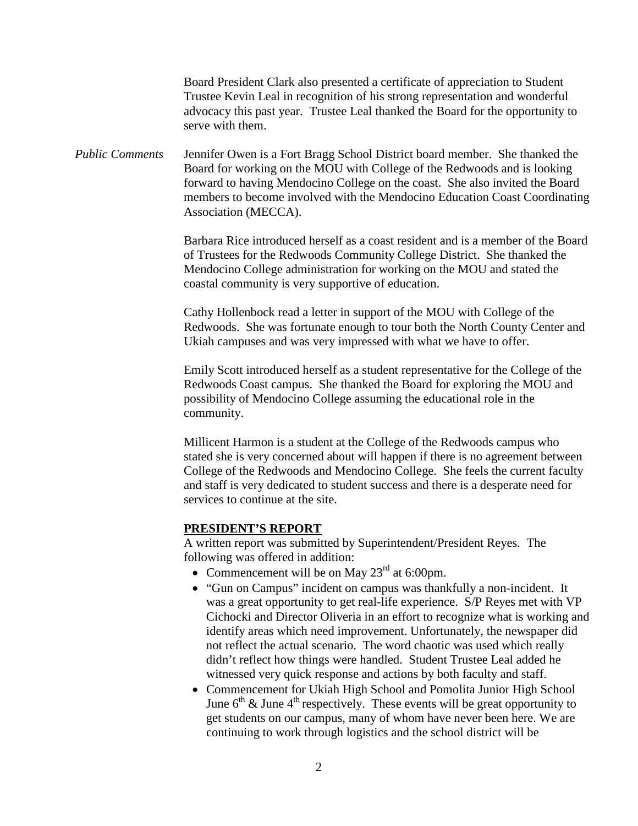Board President Clark also presented a certificate of appreciation to Student Trustee Kevin Leal in recognition of his strong representation and wonderful advocacy this past year. Trustee Leal thanked the Board for the opportunity to serve with them.

*Public Comments* Jennifer Owen is a Fort Bragg School District board member. She thanked the Board for working on the MOU with College of the Redwoods and is looking forward to having Mendocino College on the coast. She also invited the Board members to become involved with the Mendocino Education Coast Coordinating Association (MECCA).

> Barbara Rice introduced herself as a coast resident and is a member of the Board of Trustees for the Redwoods Community College District. She thanked the Mendocino College administration for working on the MOU and stated the coastal community is very supportive of education.

> Cathy Hollenbock read a letter in support of the MOU with College of the Redwoods. She was fortunate enough to tour both the North County Center and Ukiah campuses and was very impressed with what we have to offer.

> Emily Scott introduced herself as a student representative for the College of the Redwoods Coast campus. She thanked the Board for exploring the MOU and possibility of Mendocino College assuming the educational role in the community.

> Millicent Harmon is a student at the College of the Redwoods campus who stated she is very concerned about will happen if there is no agreement between College of the Redwoods and Mendocino College. She feels the current faculty and staff is very dedicated to student success and there is a desperate need for services to continue at the site.

#### **PRESIDENT'S REPORT**

A written report was submitted by Superintendent/President Reyes. The following was offered in addition:

- Commencement will be on May  $23<sup>rd</sup>$  at 6:00pm.
- "Gun on Campus" incident on campus was thankfully a non-incident. It was a great opportunity to get real-life experience. S/P Reyes met with VP Cichocki and Director Oliveria in an effort to recognize what is working and identify areas which need improvement. Unfortunately, the newspaper did not reflect the actual scenario. The word chaotic was used which really didn't reflect how things were handled. Student Trustee Leal added he witnessed very quick response and actions by both faculty and staff.
- Commencement for Ukiah High School and Pomolita Junior High School June  $6<sup>th</sup>$  & June  $4<sup>th</sup>$  respectively. These events will be great opportunity to get students on our campus, many of whom have never been here. We are continuing to work through logistics and the school district will be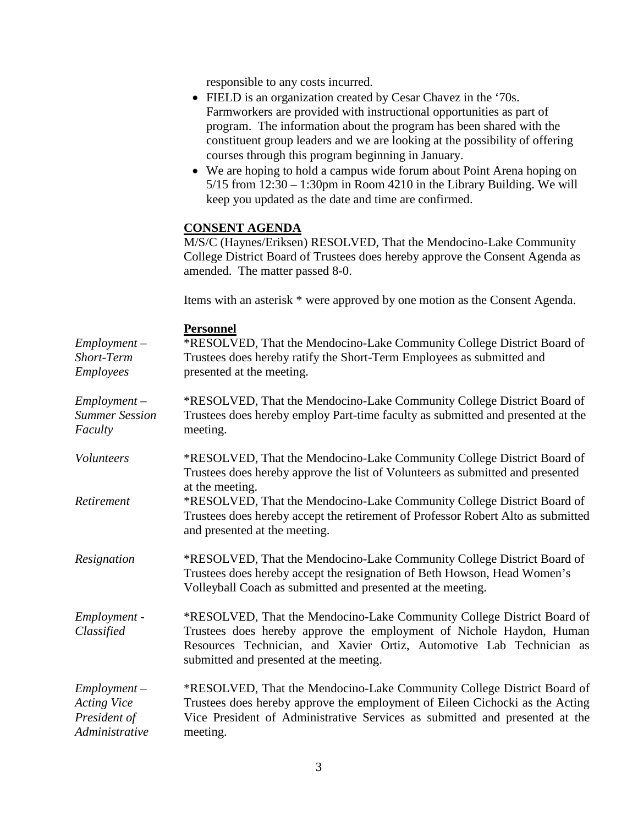responsible to any costs incurred.

- FIELD is an organization created by Cesar Chavez in the '70s. Farmworkers are provided with instructional opportunities as part of program. The information about the program has been shared with the constituent group leaders and we are looking at the possibility of offering courses through this program beginning in January.
- We are hoping to hold a campus wide forum about Point Arena hoping on  $5/15$  from  $12:30 - 1:30$  pm in Room  $4210$  in the Library Building. We will keep you updated as the date and time are confirmed.

## **CONSENT AGENDA**

M/S/C (Haynes/Eriksen) RESOLVED, That the Mendocino-Lake Community College District Board of Trustees does hereby approve the Consent Agenda as amended. The matter passed 8-0.

Items with an asterisk \* were approved by one motion as the Consent Agenda.

#### **Personnel** *Employment – Short-Term Employees* \*RESOLVED, That the Mendocino-Lake Community College District Board of Trustees does hereby ratify the Short-Term Employees as submitted and presented at the meeting. *Employment – Summer Session Faculty* \*RESOLVED, That the Mendocino-Lake Community College District Board of Trustees does hereby employ Part-time faculty as submitted and presented at the meeting. *Volunteers* \*RESOLVED, That the Mendocino-Lake Community College District Board of Trustees does hereby approve the list of Volunteers as submitted and presented at the meeting. *Retirement* \*RESOLVED, That the Mendocino-Lake Community College District Board of Trustees does hereby accept the retirement of Professor Robert Alto as submitted and presented at the meeting. *Resignation* \*RESOLVED, That the Mendocino-Lake Community College District Board of Trustees does hereby accept the resignation of Beth Howson, Head Women's Volleyball Coach as submitted and presented at the meeting. *Employment - Classified* \*RESOLVED, That the Mendocino-Lake Community College District Board of Trustees does hereby approve the employment of Nichole Haydon, Human Resources Technician, and Xavier Ortiz, Automotive Lab Technician as submitted and presented at the meeting. *Employment – Acting Vice President of Administrative*  \*RESOLVED, That the Mendocino-Lake Community College District Board of Trustees does hereby approve the employment of Eileen Cichocki as the Acting Vice President of Administrative Services as submitted and presented at the meeting.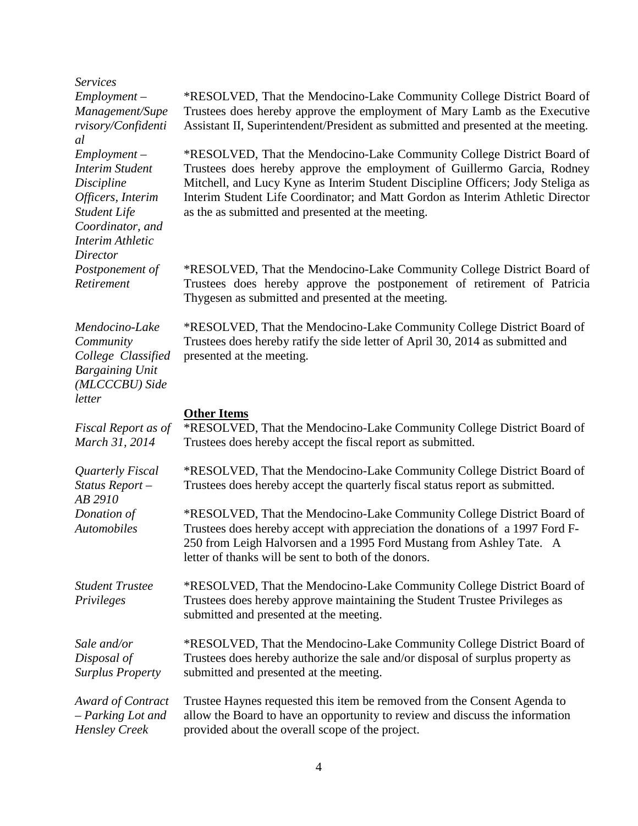| <b>Services</b>                                                                                                                                               |                                                                                                                                                                                                                                                                                                                                                                             |
|---------------------------------------------------------------------------------------------------------------------------------------------------------------|-----------------------------------------------------------------------------------------------------------------------------------------------------------------------------------------------------------------------------------------------------------------------------------------------------------------------------------------------------------------------------|
| $Employment -$<br>Management/Supe<br>rvisory/Confidenti<br>al                                                                                                 | *RESOLVED, That the Mendocino-Lake Community College District Board of<br>Trustees does hereby approve the employment of Mary Lamb as the Executive<br>Assistant II, Superintendent/President as submitted and presented at the meeting.                                                                                                                                    |
| $Employment -$<br><b>Interim Student</b><br>Discipline<br>Officers, Interim<br><b>Student Life</b><br>Coordinator, and<br><b>Interim Athletic</b><br>Director | *RESOLVED, That the Mendocino-Lake Community College District Board of<br>Trustees does hereby approve the employment of Guillermo Garcia, Rodney<br>Mitchell, and Lucy Kyne as Interim Student Discipline Officers; Jody Steliga as<br>Interim Student Life Coordinator; and Matt Gordon as Interim Athletic Director<br>as the as submitted and presented at the meeting. |
| Postponement of<br>Retirement                                                                                                                                 | *RESOLVED, That the Mendocino-Lake Community College District Board of<br>Trustees does hereby approve the postponement of retirement of Patricia<br>Thygesen as submitted and presented at the meeting.                                                                                                                                                                    |
| Mendocino-Lake<br>Community<br>College Classified<br><b>Bargaining Unit</b><br>(MLCCCBU) Side<br>letter                                                       | *RESOLVED, That the Mendocino-Lake Community College District Board of<br>Trustees does hereby ratify the side letter of April 30, 2014 as submitted and<br>presented at the meeting.                                                                                                                                                                                       |
| Fiscal Report as of<br>March 31, 2014                                                                                                                         | <b>Other Items</b><br>*RESOLVED, That the Mendocino-Lake Community College District Board of<br>Trustees does hereby accept the fiscal report as submitted.                                                                                                                                                                                                                 |
| Quarterly Fiscal<br>Status Report-<br>AB 2910                                                                                                                 | *RESOLVED, That the Mendocino-Lake Community College District Board of<br>Trustees does hereby accept the quarterly fiscal status report as submitted.                                                                                                                                                                                                                      |
| Donation of<br>Automobiles                                                                                                                                    | *RESOLVED, That the Mendocino-Lake Community College District Board of<br>Trustees does hereby accept with appreciation the donations of a 1997 Ford F-<br>250 from Leigh Halvorsen and a 1995 Ford Mustang from Ashley Tate. A<br>letter of thanks will be sent to both of the donors.                                                                                     |
| <b>Student Trustee</b><br>Privileges                                                                                                                          | *RESOLVED, That the Mendocino-Lake Community College District Board of<br>Trustees does hereby approve maintaining the Student Trustee Privileges as<br>submitted and presented at the meeting.                                                                                                                                                                             |
| Sale and/or<br>Disposal of<br><b>Surplus Property</b>                                                                                                         | *RESOLVED, That the Mendocino-Lake Community College District Board of<br>Trustees does hereby authorize the sale and/or disposal of surplus property as<br>submitted and presented at the meeting.                                                                                                                                                                         |
| Award of Contract<br>- Parking Lot and<br><b>Hensley Creek</b>                                                                                                | Trustee Haynes requested this item be removed from the Consent Agenda to<br>allow the Board to have an opportunity to review and discuss the information<br>provided about the overall scope of the project.                                                                                                                                                                |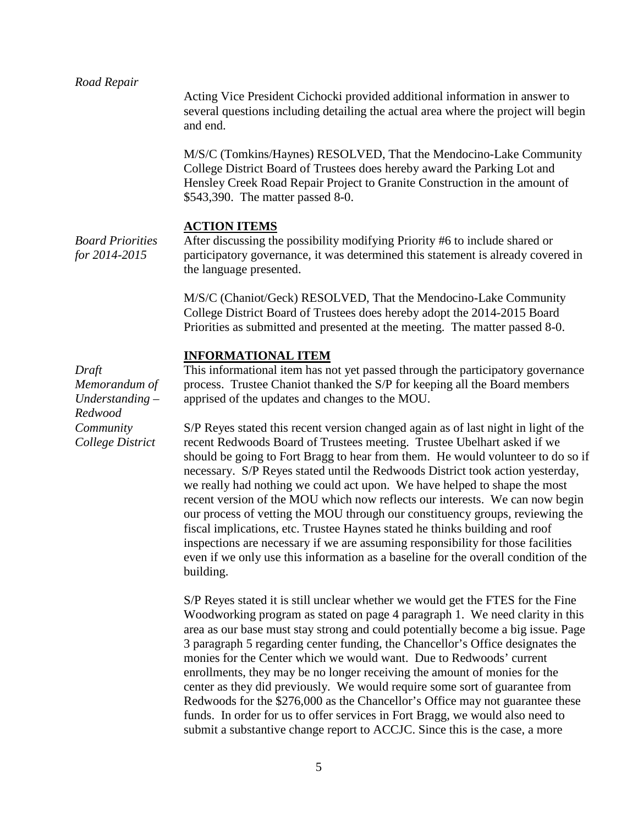#### *Road Repair*

Acting Vice President Cichocki provided additional information in answer to several questions including detailing the actual area where the project will begin and end.

M/S/C (Tomkins/Haynes) RESOLVED, That the Mendocino-Lake Community College District Board of Trustees does hereby award the Parking Lot and Hensley Creek Road Repair Project to Granite Construction in the amount of \$543,390. The matter passed 8-0.

#### **ACTION ITEMS**

*Board Priorities for 2014-2015*

After discussing the possibility modifying Priority #6 to include shared or participatory governance, it was determined this statement is already covered in the language presented.

M/S/C (Chaniot/Geck) RESOLVED, That the Mendocino-Lake Community College District Board of Trustees does hereby adopt the 2014-2015 Board Priorities as submitted and presented at the meeting. The matter passed 8-0.

#### **INFORMATIONAL ITEM**

*Draft Memorandum of Understanding – Redwood Community College District*

This informational item has not yet passed through the participatory governance process. Trustee Chaniot thanked the S/P for keeping all the Board members apprised of the updates and changes to the MOU.

S/P Reyes stated this recent version changed again as of last night in light of the recent Redwoods Board of Trustees meeting. Trustee Ubelhart asked if we should be going to Fort Bragg to hear from them. He would volunteer to do so if necessary. S/P Reyes stated until the Redwoods District took action yesterday, we really had nothing we could act upon. We have helped to shape the most recent version of the MOU which now reflects our interests. We can now begin our process of vetting the MOU through our constituency groups, reviewing the fiscal implications, etc. Trustee Haynes stated he thinks building and roof inspections are necessary if we are assuming responsibility for those facilities even if we only use this information as a baseline for the overall condition of the building.

S/P Reyes stated it is still unclear whether we would get the FTES for the Fine Woodworking program as stated on page 4 paragraph 1. We need clarity in this area as our base must stay strong and could potentially become a big issue. Page 3 paragraph 5 regarding center funding, the Chancellor's Office designates the monies for the Center which we would want. Due to Redwoods' current enrollments, they may be no longer receiving the amount of monies for the center as they did previously. We would require some sort of guarantee from Redwoods for the \$276,000 as the Chancellor's Office may not guarantee these funds. In order for us to offer services in Fort Bragg, we would also need to submit a substantive change report to ACCJC. Since this is the case, a more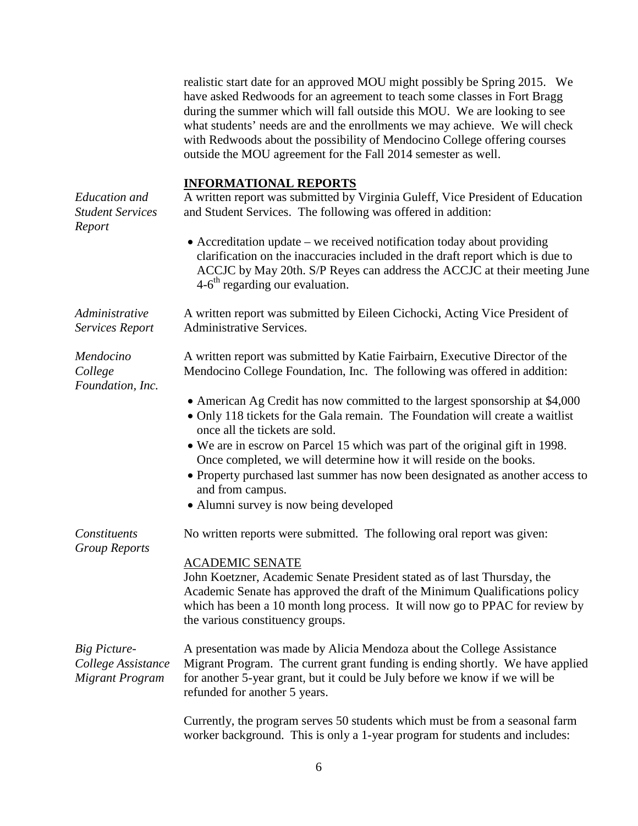realistic start date for an approved MOU might possibly be Spring 2015. We have asked Redwoods for an agreement to teach some classes in Fort Bragg during the summer which will fall outside this MOU. We are looking to see what students' needs are and the enrollments we may achieve. We will check with Redwoods about the possibility of Mendocino College offering courses outside the MOU agreement for the Fall 2014 semester as well.

|                                                                     | <b>INFORMATIONAL REPORTS</b>                                                                                                                                                                                                                                                                                                                                                                                                                                                                         |
|---------------------------------------------------------------------|------------------------------------------------------------------------------------------------------------------------------------------------------------------------------------------------------------------------------------------------------------------------------------------------------------------------------------------------------------------------------------------------------------------------------------------------------------------------------------------------------|
| <b>Education</b> and<br><b>Student Services</b>                     | A written report was submitted by Virginia Guleff, Vice President of Education<br>and Student Services. The following was offered in addition:                                                                                                                                                                                                                                                                                                                                                       |
| Report                                                              | • Accreditation update – we received notification today about providing<br>clarification on the inaccuracies included in the draft report which is due to<br>ACCJC by May 20th. S/P Reyes can address the ACCJC at their meeting June<br>$4-6$ <sup>th</sup> regarding our evaluation.                                                                                                                                                                                                               |
| Administrative<br><b>Services Report</b>                            | A written report was submitted by Eileen Cichocki, Acting Vice President of<br><b>Administrative Services.</b>                                                                                                                                                                                                                                                                                                                                                                                       |
| Mendocino<br>College<br>Foundation, Inc.                            | A written report was submitted by Katie Fairbairn, Executive Director of the<br>Mendocino College Foundation, Inc. The following was offered in addition:                                                                                                                                                                                                                                                                                                                                            |
|                                                                     | • American Ag Credit has now committed to the largest sponsorship at \$4,000<br>• Only 118 tickets for the Gala remain. The Foundation will create a waitlist<br>once all the tickets are sold.<br>• We are in escrow on Parcel 15 which was part of the original gift in 1998.<br>Once completed, we will determine how it will reside on the books.<br>• Property purchased last summer has now been designated as another access to<br>and from campus.<br>• Alumni survey is now being developed |
| Constituents                                                        | No written reports were submitted. The following oral report was given:                                                                                                                                                                                                                                                                                                                                                                                                                              |
| <b>Group Reports</b>                                                | <b>ACADEMIC SENATE</b><br>John Koetzner, Academic Senate President stated as of last Thursday, the<br>Academic Senate has approved the draft of the Minimum Qualifications policy<br>which has been a 10 month long process. It will now go to PPAC for review by<br>the various constituency groups.                                                                                                                                                                                                |
| <b>Big Picture-</b><br>College Assistance<br><b>Migrant Program</b> | A presentation was made by Alicia Mendoza about the College Assistance<br>Migrant Program. The current grant funding is ending shortly. We have applied<br>for another 5-year grant, but it could be July before we know if we will be<br>refunded for another 5 years.                                                                                                                                                                                                                              |

Currently, the program serves 50 students which must be from a seasonal farm worker background. This is only a 1-year program for students and includes: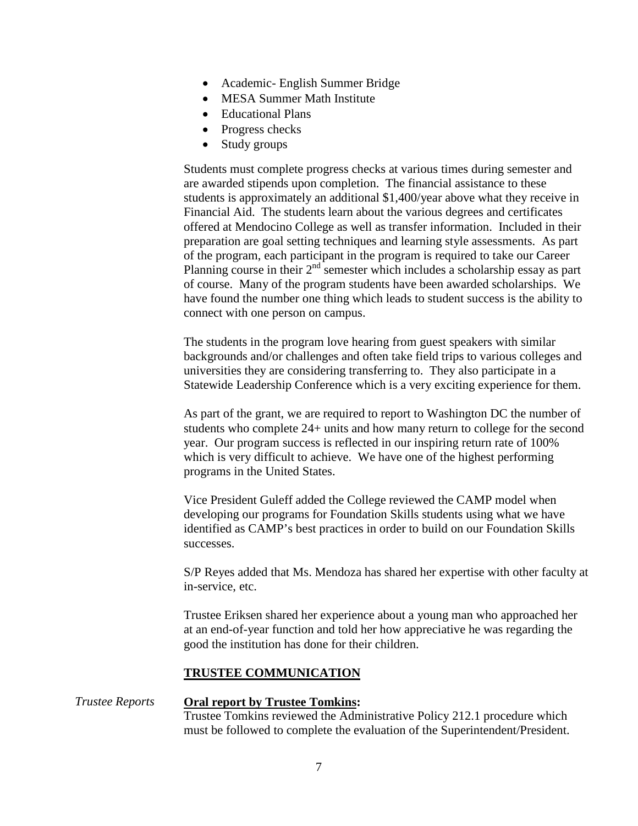- Academic English Summer Bridge
- MESA Summer Math Institute
- Educational Plans
- Progress checks
- Study groups

Students must complete progress checks at various times during semester and are awarded stipends upon completion. The financial assistance to these students is approximately an additional \$1,400/year above what they receive in Financial Aid. The students learn about the various degrees and certificates offered at Mendocino College as well as transfer information. Included in their preparation are goal setting techniques and learning style assessments. As part of the program, each participant in the program is required to take our Career Planning course in their 2<sup>nd</sup> semester which includes a scholarship essay as part of course. Many of the program students have been awarded scholarships. We have found the number one thing which leads to student success is the ability to connect with one person on campus.

The students in the program love hearing from guest speakers with similar backgrounds and/or challenges and often take field trips to various colleges and universities they are considering transferring to. They also participate in a Statewide Leadership Conference which is a very exciting experience for them.

As part of the grant, we are required to report to Washington DC the number of students who complete 24+ units and how many return to college for the second year. Our program success is reflected in our inspiring return rate of 100% which is very difficult to achieve. We have one of the highest performing programs in the United States.

Vice President Guleff added the College reviewed the CAMP model when developing our programs for Foundation Skills students using what we have identified as CAMP's best practices in order to build on our Foundation Skills successes.

S/P Reyes added that Ms. Mendoza has shared her expertise with other faculty at in-service, etc.

Trustee Eriksen shared her experience about a young man who approached her at an end-of-year function and told her how appreciative he was regarding the good the institution has done for their children.

#### **TRUSTEE COMMUNICATION**

*Trustee Reports* **Oral report by Trustee Tomkins:** Trustee Tomkins reviewed the Administrative Policy 212.1 procedure which must be followed to complete the evaluation of the Superintendent/President.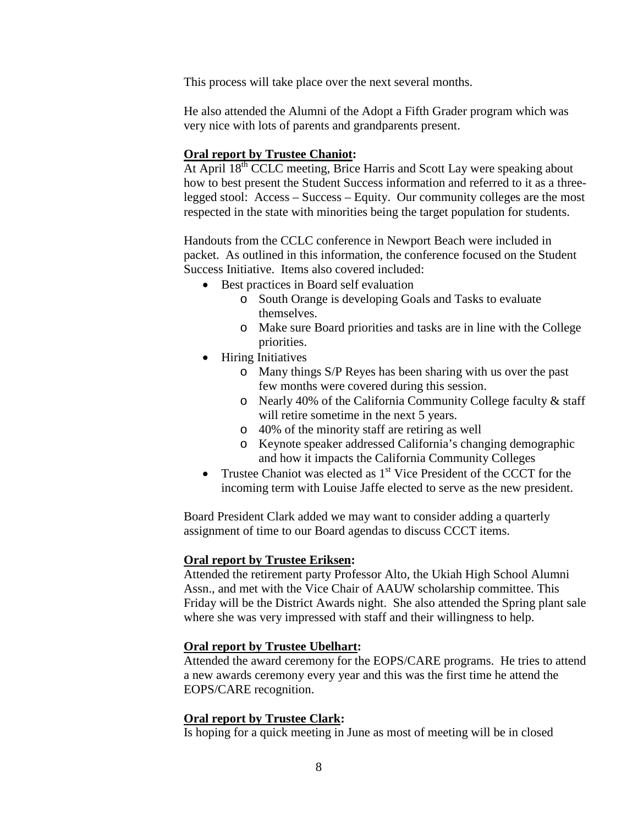This process will take place over the next several months.

He also attended the Alumni of the Adopt a Fifth Grader program which was very nice with lots of parents and grandparents present.

#### **Oral report by Trustee Chaniot:**

At April 18<sup>th</sup> CCLC meeting, Brice Harris and Scott Lay were speaking about how to best present the Student Success information and referred to it as a threelegged stool: Access – Success – Equity. Our community colleges are the most respected in the state with minorities being the target population for students.

Handouts from the CCLC conference in Newport Beach were included in packet. As outlined in this information, the conference focused on the Student Success Initiative. Items also covered included:

- Best practices in Board self evaluation
	- o South Orange is developing Goals and Tasks to evaluate themselves.
	- o Make sure Board priorities and tasks are in line with the College priorities.
- Hiring Initiatives
	- o Many things S/P Reyes has been sharing with us over the past few months were covered during this session.
	- o Nearly 40% of the California Community College faculty & staff will retire sometime in the next 5 years.
	- o 40% of the minority staff are retiring as well
	- o Keynote speaker addressed California's changing demographic and how it impacts the California Community Colleges
- Trustee Chaniot was elected as  $1<sup>st</sup>$  Vice President of the CCCT for the incoming term with Louise Jaffe elected to serve as the new president.

Board President Clark added we may want to consider adding a quarterly assignment of time to our Board agendas to discuss CCCT items.

#### **Oral report by Trustee Eriksen:**

Attended the retirement party Professor Alto, the Ukiah High School Alumni Assn., and met with the Vice Chair of AAUW scholarship committee. This Friday will be the District Awards night. She also attended the Spring plant sale where she was very impressed with staff and their willingness to help.

#### **Oral report by Trustee Ubelhart:**

Attended the award ceremony for the EOPS/CARE programs. He tries to attend a new awards ceremony every year and this was the first time he attend the EOPS/CARE recognition.

#### **Oral report by Trustee Clark:**

Is hoping for a quick meeting in June as most of meeting will be in closed